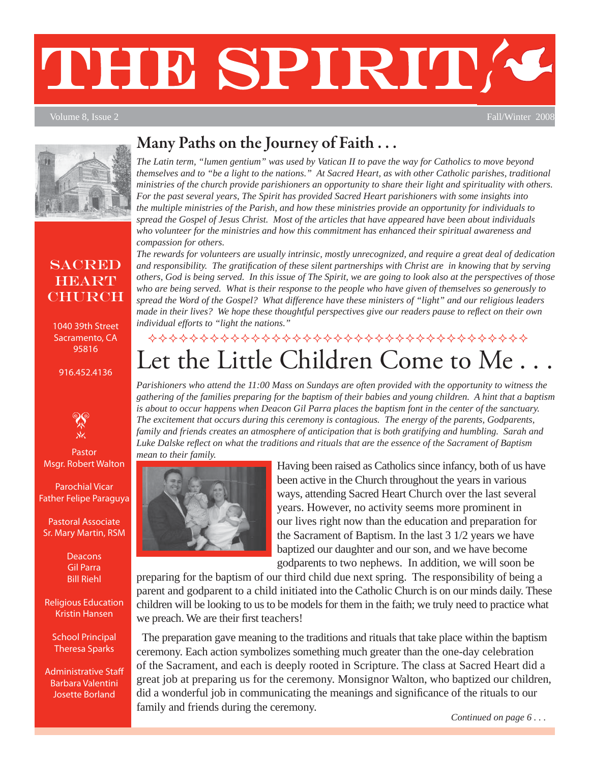# THE SPIRITA

Volume 8, Issue 2 Fall/Winter 2008



#### **SACRED HEART CHURCH**

1040 39th Street Sacramento, CA 95816

#### 916.452.4136



Pastor Msgr. Robert Walton

Parochial Vicar Father Felipe Paraguya

Pastoral Associate Sr. Mary Martin, RSM

> **Deacons** Gil Parra Bill Riehl

Religious Education Kristin Hansen

School Principal Theresa Sparks

Administrative Staff Barbara Valentini Josette Borland

#### **Many Paths on the Journey of Faith . . .**

*The Latin term, "lumen gentium" was used by Vatican II to pave the way for Catholics to move beyond themselves and to "be a light to the nations." At Sacred Heart, as with other Catholic parishes, traditional ministries of the church provide parishioners an opportunity to share their light and spirituality with others. For the past several years, The Spirit has provided Sacred Heart parishioners with some insights into the multiple ministries of the Parish, and how these ministries provide an opportunity for individuals to spread the Gospel of Jesus Christ. Most of the articles that have appeared have been about individuals who volunteer for the ministries and how this commitment has enhanced their spiritual awareness and compassion for others.* 

*The rewards for volunteers are usually intrinsic, mostly unrecognized, and require a great deal of dedication and responsibility. The gratifi cation of these silent partnerships with Christ are in knowing that by serving others, God is being served. In this issue of The Spirit, we are going to look also at the perspectives of those who are being served. What is their response to the people who have given of themselves so generously to spread the Word of the Gospel? What difference have these ministers of "light" and our religious leaders made in their lives? We hope these thoughtful perspectives give our readers pause to reflect on their own individual efforts to "light the nations."*

### Let the Little Children Come to Me \*\*\*\*\*\*\*\*\*\*\*\*\*\*\*\*\*\*\*\*\*\*\*\*\*\*\*\*\*\*\*\*\*\*\*

*Parishioners who attend the 11:00 Mass on Sundays are often provided with the opportunity to witness the gathering of the families preparing for the baptism of their babies and young children. A hint that a baptism is about to occur happens when Deacon Gil Parra places the baptism font in the center of the sanctuary. The excitement that occurs during this ceremony is contagious. The energy of the parents, Godparents, family and friends creates an atmosphere of anticipation that is both gratifying and humbling. Sarah and Luke Dalske refl ect on what the traditions and rituals that are the essence of the Sacrament of Baptism mean to their family.*



Having been raised as Catholics since infancy, both of us have been active in the Church throughout the years in various ways, attending Sacred Heart Church over the last several years. However, no activity seems more prominent in our lives right now than the education and preparation for the Sacrament of Baptism. In the last 3 1/2 years we have baptized our daughter and our son, and we have become godparents to two nephews. In addition, we will soon be

preparing for the baptism of our third child due next spring. The responsibility of being a parent and godparent to a child initiated into the Catholic Church is on our minds daily. These children will be looking to us to be models for them in the faith; we truly need to practice what we preach. We are their first teachers!

The preparation gave meaning to the traditions and rituals that take place within the baptism ceremony. Each action symbolizes something much greater than the one-day celebration of the Sacrament, and each is deeply rooted in Scripture. The class at Sacred Heart did a great job at preparing us for the ceremony. Monsignor Walton, who baptized our children, did a wonderful job in communicating the meanings and significance of the rituals to our family and friends during the ceremony.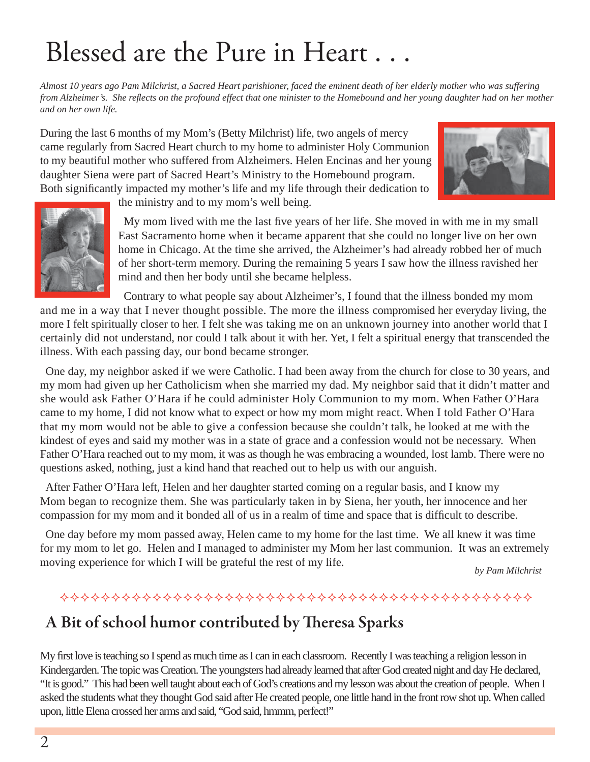### Blessed are the Pure in Heart . . .

*Almost 10 years ago Pam Milchrist, a Sacred Heart parishioner, faced the eminent death of her elderly mother who was suffering from Alzheimer's. She refl ects on the profound effect that one minister to the Homebound and her young daughter had on her mother and on her own life.*

During the last 6 months of my Mom's (Betty Milchrist) life, two angels of mercy came regularly from Sacred Heart church to my home to administer Holy Communion to my beautiful mother who suffered from Alzheimers. Helen Encinas and her young daughter Siena were part of Sacred Heart's Ministry to the Homebound program. Both significantly impacted my mother's life and my life through their dedication to





the ministry and to my mom's well being.

My mom lived with me the last five years of her life. She moved in with me in my small East Sacramento home when it became apparent that she could no longer live on her own home in Chicago. At the time she arrived, the Alzheimer's had already robbed her of much of her short-term memory. During the remaining 5 years I saw how the illness ravished her mind and then her body until she became helpless.

Contrary to what people say about Alzheimer's, I found that the illness bonded my mom and me in a way that I never thought possible. The more the illness compromised her everyday living, the more I felt spiritually closer to her. I felt she was taking me on an unknown journey into another world that I certainly did not understand, nor could I talk about it with her. Yet, I felt a spiritual energy that transcended the illness. With each passing day, our bond became stronger.

One day, my neighbor asked if we were Catholic. I had been away from the church for close to 30 years, and my mom had given up her Catholicism when she married my dad. My neighbor said that it didn't matter and she would ask Father O'Hara if he could administer Holy Communion to my mom. When Father O'Hara came to my home, I did not know what to expect or how my mom might react. When I told Father O'Hara that my mom would not be able to give a confession because she couldn't talk, he looked at me with the kindest of eyes and said my mother was in a state of grace and a confession would not be necessary. When Father O'Hara reached out to my mom, it was as though he was embracing a wounded, lost lamb. There were no questions asked, nothing, just a kind hand that reached out to help us with our anguish.

After Father O'Hara left, Helen and her daughter started coming on a regular basis, and I know my Mom began to recognize them. She was particularly taken in by Siena, her youth, her innocence and her compassion for my mom and it bonded all of us in a realm of time and space that is difficult to describe.

One day before my mom passed away, Helen came to my home for the last time. We all knew it was time for my mom to let go. Helen and I managed to administer my Mom her last communion. It was an extremely moving experience for which I will be grateful the rest of my life.

*by Pam Milchrist*

#### A Bit of school humor contributed by Theresa Sparks

My first love is teaching so I spend as much time as I can in each classroom. Recently I was teaching a religion lesson in Kindergarden. The topic was Creation. The youngsters had already learned that after God created night and day He declared, "It is good." This had been well taught about each of God's creations and my lesson was about the creation of people. When I asked the students what they thought God said after He created people, one little hand in the front row shot up. When called upon, little Elena crossed her arms and said, "God said, hmmm, perfect!"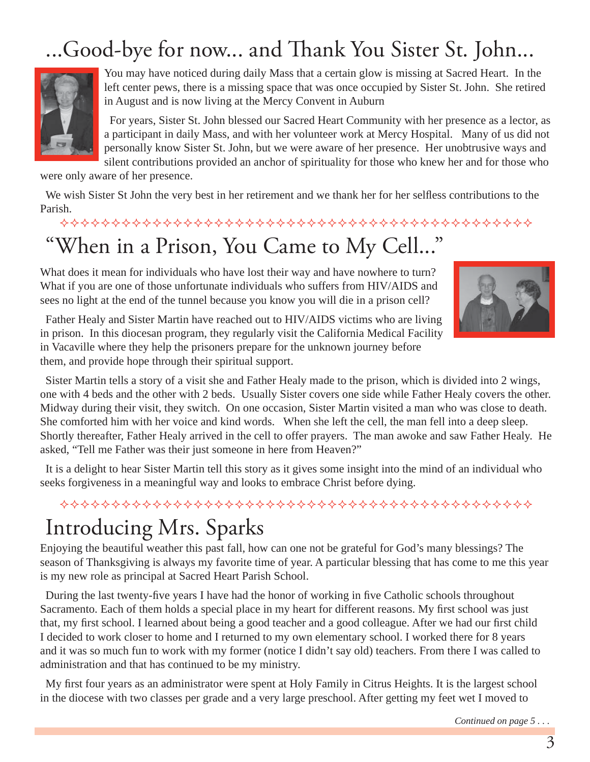### ...Good-bye for now... and Thank You Sister St. John...



You may have noticed during daily Mass that a certain glow is missing at Sacred Heart. In the left center pews, there is a missing space that was once occupied by Sister St. John. She retired in August and is now living at the Mercy Convent in Auburn

For years, Sister St. John blessed our Sacred Heart Community with her presence as a lector, as a participant in daily Mass, and with her volunteer work at Mercy Hospital. Many of us did not personally know Sister St. John, but we were aware of her presence. Her unobtrusive ways and silent contributions provided an anchor of spirituality for those who knew her and for those who

were only aware of her presence.

We wish Sister St John the very best in her retirement and we thank her for her selfless contributions to the Parish.

### "When in a Prison, You Came to My Cell..."

What does it mean for individuals who have lost their way and have nowhere to turn? What if you are one of those unfortunate individuals who suffers from HIV/AIDS and sees no light at the end of the tunnel because you know you will die in a prison cell?



Father Healy and Sister Martin have reached out to HIV/AIDS victims who are living in prison. In this diocesan program, they regularly visit the California Medical Facility in Vacaville where they help the prisoners prepare for the unknown journey before them, and provide hope through their spiritual support.

Sister Martin tells a story of a visit she and Father Healy made to the prison, which is divided into 2 wings, one with 4 beds and the other with 2 beds. Usually Sister covers one side while Father Healy covers the other. Midway during their visit, they switch. On one occasion, Sister Martin visited a man who was close to death. She comforted him with her voice and kind words. When she left the cell, the man fell into a deep sleep. Shortly thereafter, Father Healy arrived in the cell to offer prayers. The man awoke and saw Father Healy. He asked, "Tell me Father was their just someone in here from Heaven?"

It is a delight to hear Sister Martin tell this story as it gives some insight into the mind of an individual who seeks forgiveness in a meaningful way and looks to embrace Christ before dying.

#### 

### Introducing Mrs. Sparks

Enjoying the beautiful weather this past fall, how can one not be grateful for God's many blessings? The season of Thanksgiving is always my favorite time of year. A particular blessing that has come to me this year is my new role as principal at Sacred Heart Parish School.

During the last twenty-five years I have had the honor of working in five Catholic schools throughout Sacramento. Each of them holds a special place in my heart for different reasons. My first school was just that, my first school. I learned about being a good teacher and a good colleague. After we had our first child I decided to work closer to home and I returned to my own elementary school. I worked there for 8 years and it was so much fun to work with my former (notice I didn't say old) teachers. From there I was called to administration and that has continued to be my ministry.

My first four years as an administrator were spent at Holy Family in Citrus Heights. It is the largest school in the diocese with two classes per grade and a very large preschool. After getting my feet wet I moved to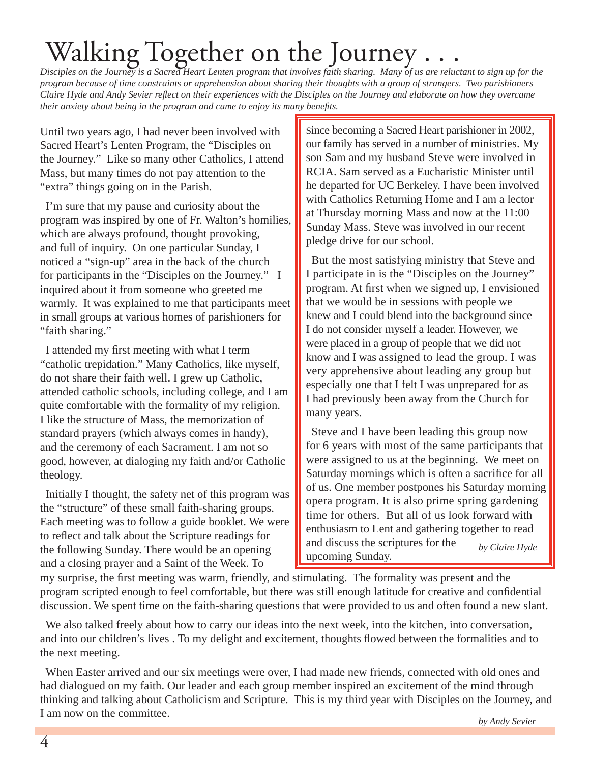### Walking Together on the Journey

*Disciples on the Journey is a Sacred Heart Lenten program that involves faith sharing. Many of us are reluctant to sign up for the program because of time constraints or apprehension about sharing their thoughts with a group of strangers. Two parishioners Claire Hyde and Andy Sevier refl ect on their experiences with the Disciples on the Journey and elaborate on how they overcame their anxiety about being in the program and came to enjoy its many benefits.* 

Until two years ago, I had never been involved with Sacred Heart's Lenten Program, the "Disciples on the Journey." Like so many other Catholics, I attend Mass, but many times do not pay attention to the "extra" things going on in the Parish.

I'm sure that my pause and curiosity about the program was inspired by one of Fr. Walton's homilies, which are always profound, thought provoking, and full of inquiry. On one particular Sunday, I noticed a "sign-up" area in the back of the church for participants in the "Disciples on the Journey." I inquired about it from someone who greeted me warmly. It was explained to me that participants meet in small groups at various homes of parishioners for "faith sharing."

I attended my first meeting with what I term "catholic trepidation." Many Catholics, like myself, do not share their faith well. I grew up Catholic, attended catholic schools, including college, and I am quite comfortable with the formality of my religion. I like the structure of Mass, the memorization of standard prayers (which always comes in handy), and the ceremony of each Sacrament. I am not so good, however, at dialoging my faith and/or Catholic theology.

Initially I thought, the safety net of this program was the "structure" of these small faith-sharing groups. Each meeting was to follow a guide booklet. We were to reflect and talk about the Scripture readings for the following Sunday. There would be an opening and a closing prayer and a Saint of the Week. To

Since becoming a Sacred Heart parishioner in 2002, our family has served in a number of ministries. My son Sam and my husband Steve were involved in RCIA. Sam served as a Eucharistic Minister until he departed for UC Berkeley. I have been involved with Catholics Returning Home and I am a lector at Thursday morning Mass and now at the 11:00 Sunday Mass. Steve was involved in our recent pledge drive for our school.

But the most satisfying ministry that Steve and I participate in is the "Disciples on the Journey" program. At first when we signed up, I envisioned that we would be in sessions with people we knew and I could blend into the background since I do not consider myself a leader. However, we were placed in a group of people that we did not know and I was assigned to lead the group. I was very apprehensive about leading any group but especially one that I felt I was unprepared for as I had previously been away from the Church for many years.

Steve and I have been leading this group now for 6 years with most of the same participants that were assigned to us at the beginning. We meet on Saturday mornings which is often a sacrifice for all of us. One member postpones his Saturday morning opera program. It is also prime spring gardening time for others. But all of us look forward with enthusiasm to Lent and gathering together to read and discuss the scriptures for the upcoming Sunday. *by Claire Hyde*

my surprise, the first meeting was warm, friendly, and stimulating. The formality was present and the program scripted enough to feel comfortable, but there was still enough latitude for creative and confidential discussion. We spent time on the faith-sharing questions that were provided to us and often found a new slant.

We also talked freely about how to carry our ideas into the next week, into the kitchen, into conversation, and into our children's lives . To my delight and excitement, thoughts flowed between the formalities and to the next meeting.

When Easter arrived and our six meetings were over, I had made new friends, connected with old ones and had dialogued on my faith. Our leader and each group member inspired an excitement of the mind through thinking and talking about Catholicism and Scripture. This is my third year with Disciples on the Journey, and I am now on the committee.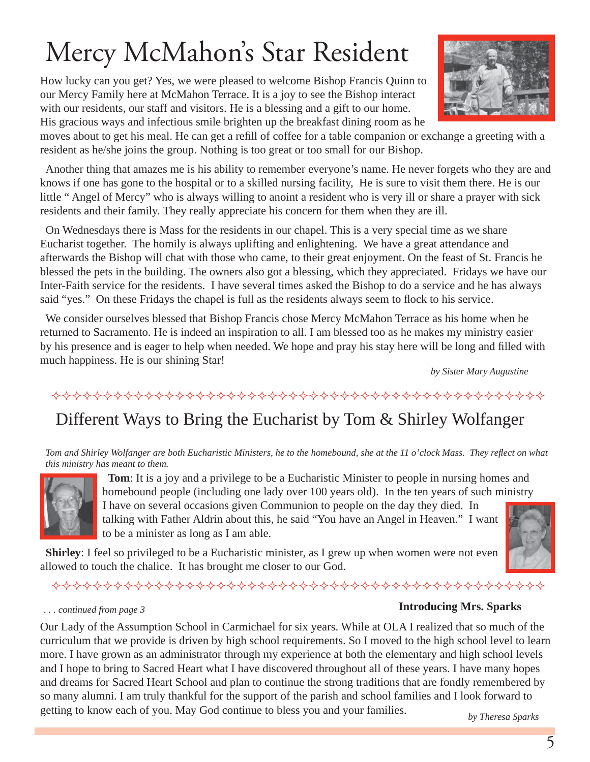## Mercy McMahon's Star Resident

How lucky can you get? Yes, we were pleased to welcome Bishop Francis Quinn to our Mercy Family here at McMahon Terrace. It is a joy to see the Bishop interact with our residents, our staff and visitors. He is a blessing and a gift to our home. His gracious ways and infectious smile brighten up the breakfast dining room as he

moves about to get his meal. He can get a refill of coffee for a table companion or exchange a greeting with a resident as he/she joins the group. Nothing is too great or too small for our Bishop.

Another thing that amazes me is his ability to remember everyone's name. He never forgets who they are and knows if one has gone to the hospital or to a skilled nursing facility, He is sure to visit them there. He is our little " Angel of Mercy" who is always willing to anoint a resident who is very ill or share a prayer with sick residents and their family. They really appreciate his concern for them when they are ill.

On Wednesdays there is Mass for the residents in our chapel. This is a very special time as we share Eucharist together. The homily is always uplifting and enlightening. We have a great attendance and afterwards the Bishop will chat with those who came, to their great enjoyment. On the feast of St. Francis he blessed the pets in the building. The owners also got a blessing, which they appreciated. Fridays we have our Inter-Faith service for the residents. I have several times asked the Bishop to do a service and he has always said "yes." On these Fridays the chapel is full as the residents always seem to flock to his service.

We consider ourselves blessed that Bishop Francis chose Mercy McMahon Terrace as his home when he returned to Sacramento. He is indeed an inspiration to all. I am blessed too as he makes my ministry easier by his presence and is eager to help when needed. We hope and pray his stay here will be long and filled with much happiness. He is our shining Star!

*by Sister Mary Augustine*

#### 

#### Different Ways to Bring the Eucharist by Tom & Shirley Wolfanger

*Tom and Shirley Wolfanger are both Eucharistic Ministers, he to the homebound, she at the 11 o'clock Mass. They reflect on what this ministry has meant to them.*



**Tom**: It is a joy and a privilege to be a Eucharistic Minister to people in nursing homes and homebound people (including one lady over 100 years old). In the ten years of such ministry I have on several occasions given Communion to people on the day they died. In talking with Father Aldrin about this, he said "You have an Angel in Heaven." I want to be a minister as long as I am able.

**Shirley**: I feel so privileged to be a Eucharistic minister, as I grew up when women were not even allowed to touch the chalice. It has brought me closer to our God.

#### *. . . continued from page 3*

#### **Introducing Mrs. Sparks**

Our Lady of the Assumption School in Carmichael for six years. While at OLA I realized that so much of the curriculum that we provide is driven by high school requirements. So I moved to the high school level to learn more. I have grown as an administrator through my experience at both the elementary and high school levels and I hope to bring to Sacred Heart what I have discovered throughout all of these years. I have many hopes and dreams for Sacred Heart School and plan to continue the strong traditions that are fondly remembered by so many alumni. I am truly thankful for the support of the parish and school families and I look forward to getting to know each of you. May God continue to bless you and your families.

*by Theresa Sparks*

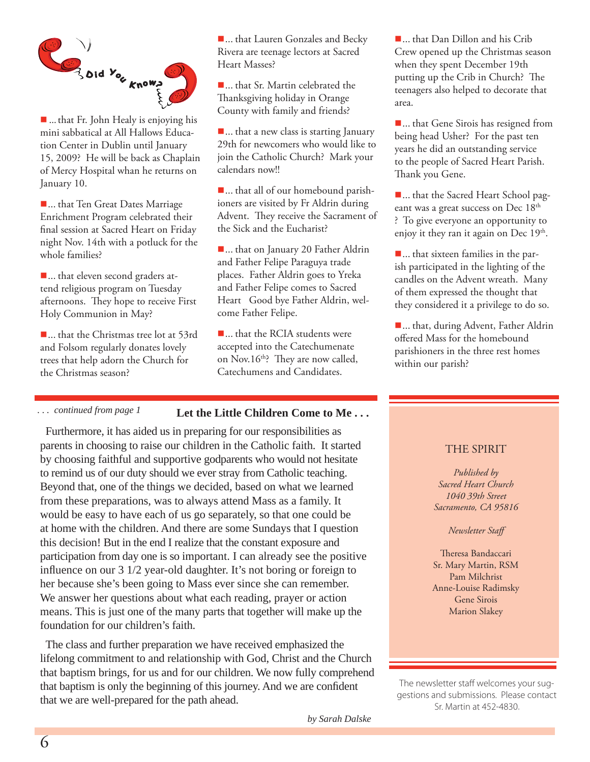

 $\blacksquare$  ... that Fr. John Healy is enjoying his mini sabbatical at All Hallows Education Center in Dublin until January 15, 2009? He will be back as Chaplain of Mercy Hospital whan he returns on January 10.

■... that Ten Great Dates Marriage Enrichment Program celebrated their final session at Sacred Heart on Friday night Nov. 14th with a potluck for the whole families?

■... that eleven second graders attend religious program on Tuesday afternoons. They hope to receive First Holy Communion in May?

■... that the Christmas tree lot at 53rd and Folsom regularly donates lovely trees that help adorn the Church for the Christmas season?

■... that Lauren Gonzales and Becky Rivera are teenage lectors at Sacred Heart Masses?

■... that Sr. Martin celebrated the Thanksgiving holiday in Orange County with family and friends?

■... that a new class is starting January 29th for newcomers who would like to join the Catholic Church? Mark your calendars now!!

 ... that all of our homebound parishioners are visited by Fr Aldrin during Advent. They receive the Sacrament of the Sick and the Eucharist?

■... that on January 20 Father Aldrin and Father Felipe Paraguya trade places. Father Aldrin goes to Yreka and Father Felipe comes to Sacred Heart Good bye Father Aldrin, welcome Father Felipe.

■... that the RCIA students were accepted into the Catechumenate on Nov.16<sup>th</sup>? They are now called, Catechumens and Candidates.

#### *. . . continued from page 1*

#### **Let the Little Children Come to Me . . .**

Furthermore, it has aided us in preparing for our responsibilities as parents in choosing to raise our children in the Catholic faith. It started by choosing faithful and supportive godparents who would not hesitate to remind us of our duty should we ever stray from Catholic teaching. Beyond that, one of the things we decided, based on what we learned from these preparations, was to always attend Mass as a family. It would be easy to have each of us go separately, so that one could be at home with the children. And there are some Sundays that I question this decision! But in the end I realize that the constant exposure and participation from day one is so important. I can already see the positive influence on our 3 1/2 year-old daughter. It's not boring or foreign to her because she's been going to Mass ever since she can remember. We answer her questions about what each reading, prayer or action means. This is just one of the many parts that together will make up the foundation for our children's faith.

The class and further preparation we have received emphasized the lifelong commitment to and relationship with God, Christ and the Church that baptism brings, for us and for our children. We now fully comprehend that baptism is only the beginning of this journey. And we are confident that we are well-prepared for the path ahead.

■... that Dan Dillon and his Crib Crew opened up the Christmas season when they spent December 19th putting up the Crib in Church? The teenagers also helped to decorate that area.

■... that Gene Sirois has resigned from being head Usher? For the past ten years he did an outstanding service to the people of Sacred Heart Parish. Thank you Gene.

■... that the Sacred Heart School pageant was a great success on Dec 18<sup>th</sup> ? To give everyone an opportunity to enjoy it they ran it again on Dec  $19<sup>th</sup>$ .

 ... that sixteen families in the parish participated in the lighting of the candles on the Advent wreath. Many of them expressed the thought that they considered it a privilege to do so.

■... that, during Advent, Father Aldrin offered Mass for the homebound parishioners in the three rest homes within our parish?

#### THE SPIRIT

*Published by Sacred Heart Church 1040 39th Street Sacramento, CA 95816*

*Newsletter Staff*

Theresa Bandaccari Sr. Mary Martin, RSM Pam Milchrist Anne-Louise Radimsky Gene Sirois Marion Slakey

The newsletter staff welcomes your suggestions and submissions. Please contact Sr. Martin at 452-4830.

*by Sarah Dalske*